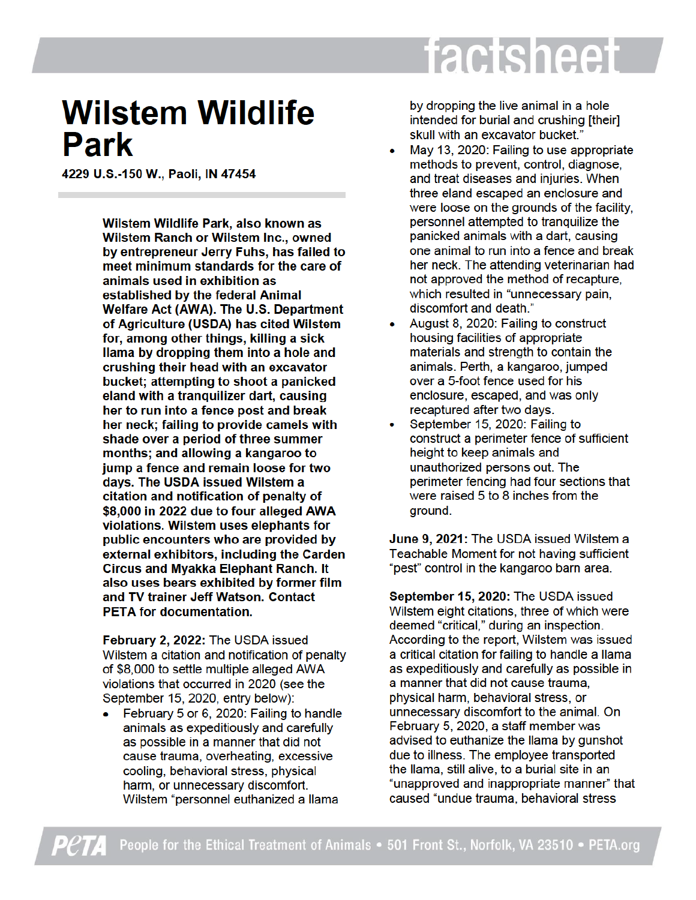## factsheet

## **Wilstem Wildlife Park**

4229 U.S.-150 W., Paoli, IN 47454

Wilstem Wildlife Park, also known as Wilstem Ranch or Wilstem Inc., owned by entrepreneur Jerry Fuhs, has failed to meet minimum standards for the care of animals used in exhibition as established by the federal Animal Welfare Act (AWA). The U.S. Department of Agriculture (USDA) has cited Wilstem for, among other things, killing a sick llama by dropping them into a hole and crushing their head with an excavator bucket; attempting to shoot a panicked eland with a tranguilizer dart, causing her to run into a fence post and break her neck; failing to provide camels with shade over a period of three summer months; and allowing a kangaroo to jump a fence and remain loose for two days. The USDA issued Wilstem a citation and notification of penalty of \$8,000 in 2022 due to four alleged AWA violations. Wilstem uses elephants for public encounters who are provided by external exhibitors, including the Carden **Circus and Myakka Elephant Ranch. It** also uses bears exhibited by former film and TV trainer Jeff Watson, Contact **PETA for documentation.** 

February 2, 2022: The USDA issued Wilstem a citation and notification of penalty of \$8,000 to settle multiple alleged AWA violations that occurred in 2020 (see the September 15, 2020, entry below):

February 5 or 6, 2020: Failing to handle  $\bullet$ animals as expeditiously and carefully as possible in a manner that did not cause trauma, overheating, excessive cooling, behavioral stress, physical harm, or unnecessary discomfort. Wilstem "personnel euthanized a llama

by dropping the live animal in a hole intended for burial and crushing [their] skull with an excavator bucket."

- May 13, 2020: Failing to use appropriate methods to prevent, control, diagnose, and treat diseases and injuries. When three eland escaped an enclosure and were loose on the grounds of the facility, personnel attempted to tranquilize the panicked animals with a dart, causing one animal to run into a fence and break her neck. The attending veterinarian had not approved the method of recapture, which resulted in "unnecessary pain, discomfort and death."
- August 8, 2020: Failing to construct housing facilities of appropriate materials and strength to contain the animals. Perth, a kangaroo, jumped over a 5-foot fence used for his enclosure, escaped, and was only recaptured after two days.
- September 15, 2020: Failing to construct a perimeter fence of sufficient height to keep animals and unauthorized persons out. The perimeter fencing had four sections that were raised 5 to 8 inches from the around.

June 9, 2021: The USDA issued Wilstem a Teachable Moment for not having sufficient "pest" control in the kangaroo barn area.

September 15, 2020: The USDA issued Wilstem eight citations, three of which were deemed "critical," during an inspection. According to the report, Wilstem was issued a critical citation for failing to handle a llama as expeditiously and carefully as possible in a manner that did not cause trauma, physical harm, behavioral stress, or unnecessary discomfort to the animal. On February 5, 2020, a staff member was advised to euthanize the llama by gunshot due to illness. The employee transported the llama, still alive, to a burial site in an "unapproved and inappropriate manner" that caused "undue trauma, behavioral stress